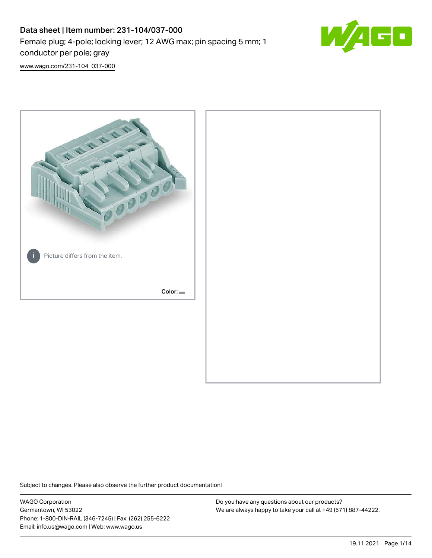# Data sheet | Item number: 231-104/037-000 Female plug; 4-pole; locking lever; 12 AWG max; pin spacing 5 mm; 1 conductor per pole; gray



[www.wago.com/231-104\\_037-000](http://www.wago.com/231-104_037-000)



Subject to changes. Please also observe the further product documentation!

WAGO Corporation Germantown, WI 53022 Phone: 1-800-DIN-RAIL (346-7245) | Fax: (262) 255-6222 Email: info.us@wago.com | Web: www.wago.us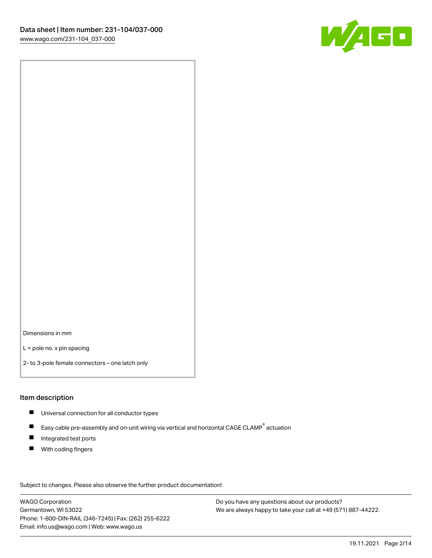

Dimensions in mm

L = pole no. x pin spacing

2- to 3-pole female connectors – one latch only

#### Item description

- **Universal connection for all conductor types**
- Easy cable pre-assembly and on-unit wiring via vertical and horizontal CAGE CLAMP<sup>®</sup> actuation  $\blacksquare$
- $\blacksquare$ Integrated test ports
- $\blacksquare$ With coding fingers

Subject to changes. Please also observe the further product documentation! Data

WAGO Corporation Germantown, WI 53022 Phone: 1-800-DIN-RAIL (346-7245) | Fax: (262) 255-6222 Email: info.us@wago.com | Web: www.wago.us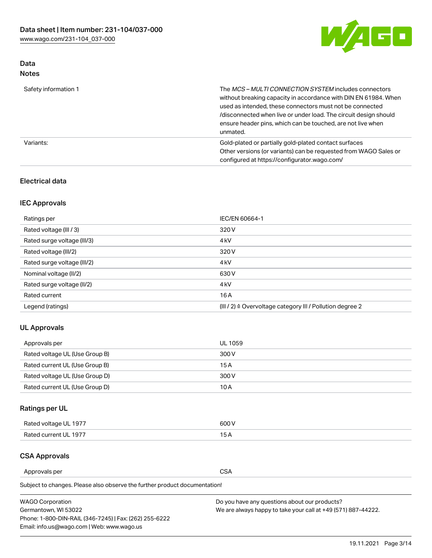

### Data Notes

| Safety information 1 | The MCS-MULTI CONNECTION SYSTEM includes connectors<br>without breaking capacity in accordance with DIN EN 61984. When<br>used as intended, these connectors must not be connected<br>/disconnected when live or under load. The circuit design should<br>ensure header pins, which can be touched, are not live when<br>unmated. |
|----------------------|-----------------------------------------------------------------------------------------------------------------------------------------------------------------------------------------------------------------------------------------------------------------------------------------------------------------------------------|
| Variants:            | Gold-plated or partially gold-plated contact surfaces<br>Other versions (or variants) can be requested from WAGO Sales or<br>configured at https://configurator.wago.com/                                                                                                                                                         |

### Electrical data

## IEC Approvals

| Ratings per                 | IEC/EN 60664-1                                                        |
|-----------------------------|-----------------------------------------------------------------------|
| Rated voltage (III / 3)     | 320 V                                                                 |
| Rated surge voltage (III/3) | 4 <sub>k</sub> V                                                      |
| Rated voltage (III/2)       | 320 V                                                                 |
| Rated surge voltage (III/2) | 4 <sub>k</sub> V                                                      |
| Nominal voltage (II/2)      | 630 V                                                                 |
| Rated surge voltage (II/2)  | 4 <sub>k</sub> V                                                      |
| Rated current               | 16A                                                                   |
| Legend (ratings)            | $(III / 2)$ $\triangle$ Overvoltage category III / Pollution degree 2 |

### UL Approvals

| Approvals per                  | UL 1059 |
|--------------------------------|---------|
| Rated voltage UL (Use Group B) | 300 V   |
| Rated current UL (Use Group B) | 15 A    |
| Rated voltage UL (Use Group D) | 300 V   |
| Rated current UL (Use Group D) | 10 A    |

# Ratings per UL

| Rated voltage UL 1977 | 600 V         |
|-----------------------|---------------|
| Rated current UL 1977 | $\sim$ $\sim$ |

### CSA Approvals

Approvals per CSA

| <b>WAGO Corporation</b>                                | Do you have any questions about our products?                 |
|--------------------------------------------------------|---------------------------------------------------------------|
| Germantown, WI 53022                                   | We are always happy to take your call at +49 (571) 887-44222. |
| Phone: 1-800-DIN-RAIL (346-7245)   Fax: (262) 255-6222 |                                                               |
| Email: info.us@wago.com   Web: www.wago.us             |                                                               |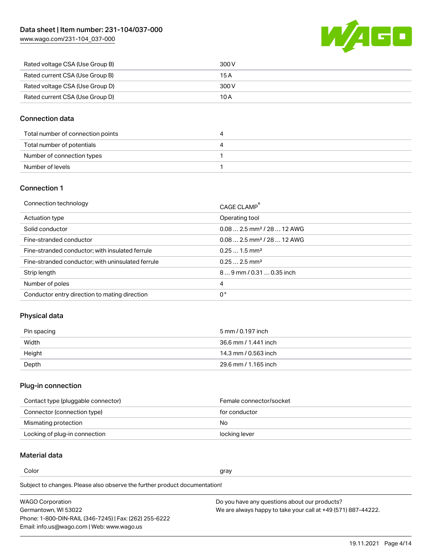

| Rated voltage CSA (Use Group B) | 300 V |
|---------------------------------|-------|
| Rated current CSA (Use Group B) | 15 A  |
| Rated voltage CSA (Use Group D) | 300 V |
| Rated current CSA (Use Group D) | 10 A  |

### Connection data

| Total number of connection points |  |
|-----------------------------------|--|
| Total number of potentials        |  |
| Number of connection types        |  |
| Number of levels                  |  |

#### Connection 1

| Connection technology                             | CAGE CLAMP <sup>®</sup>                 |
|---------------------------------------------------|-----------------------------------------|
| Actuation type                                    | Operating tool                          |
| Solid conductor                                   | $0.082.5$ mm <sup>2</sup> / 28  12 AWG  |
| Fine-stranded conductor                           | $0.08$ 2.5 mm <sup>2</sup> / 28  12 AWG |
| Fine-stranded conductor; with insulated ferrule   | $0.251.5$ mm <sup>2</sup>               |
| Fine-stranded conductor; with uninsulated ferrule | $0.252.5$ mm <sup>2</sup>               |
| Strip length                                      | 89 mm / 0.31  0.35 inch                 |
| Number of poles                                   | 4                                       |
| Conductor entry direction to mating direction     | 0°                                      |

# Physical data

| Pin spacing | 5 mm / 0.197 inch    |
|-------------|----------------------|
| Width       | 36.6 mm / 1.441 inch |
| Height      | 14.3 mm / 0.563 inch |
| Depth       | 29.6 mm / 1.165 inch |

#### Plug-in connection

| Contact type (pluggable connector) | Female connector/socket |
|------------------------------------|-------------------------|
| Connector (connection type)        | for conductor           |
| Mismating protection               | No.                     |
| Locking of plug-in connection      | locking lever           |

### Material data

Color and the color of the color of the color of the color of the color of the color of the color of the color

| <b>WAGO Corporation</b>                                | Do you have any questions about our products?                 |
|--------------------------------------------------------|---------------------------------------------------------------|
| Germantown, WI 53022                                   | We are always happy to take your call at +49 (571) 887-44222. |
| Phone: 1-800-DIN-RAIL (346-7245)   Fax: (262) 255-6222 |                                                               |
| Email: info.us@wago.com   Web: www.wago.us             |                                                               |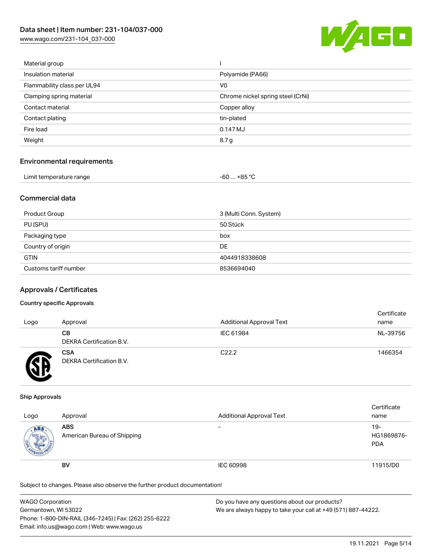

| Material group              |                                   |
|-----------------------------|-----------------------------------|
| Insulation material         | Polyamide (PA66)                  |
| Flammability class per UL94 | V <sub>0</sub>                    |
| Clamping spring material    | Chrome nickel spring steel (CrNi) |
| Contact material            | Copper alloy                      |
| Contact plating             | tin-plated                        |
| Fire load                   | 0.147 MJ                          |
| Weight                      | 8.7 g                             |
|                             |                                   |

#### Environmental requirements

| Limit temperature range | ⊥+85 °C |
|-------------------------|---------|
| .                       | -60     |

### Commercial data

| Product Group         | 3 (Multi Conn. System) |
|-----------------------|------------------------|
| PU (SPU)              | 50 Stück               |
| Packaging type        | box                    |
| Country of origin     | DE                     |
| <b>GTIN</b>           | 4044918338608          |
| Customs tariff number | 8536694040             |

#### Approvals / Certificates

#### Country specific Approvals

| Logo | Approval                               | <b>Additional Approval Text</b> | Certificate<br>name |
|------|----------------------------------------|---------------------------------|---------------------|
|      | CВ<br><b>DEKRA Certification B.V.</b>  | IEC 61984                       | NL-39756            |
|      | <b>CSA</b><br>DEKRA Certification B.V. | C <sub>22.2</sub>               | 1466354             |

#### Ship Approvals

| Logo       | Approval                                  | <b>Additional Approval Text</b> | Certificate<br>name                |
|------------|-------------------------------------------|---------------------------------|------------------------------------|
| <b>ABS</b> | <b>ABS</b><br>American Bureau of Shipping | -                               | $19 -$<br>HG1869876-<br><b>PDA</b> |
|            | <b>BV</b>                                 | IEC 60998                       | 11915/D0                           |

| <b>WAGO Corporation</b>                                | Do you have any questions about our products?                 |
|--------------------------------------------------------|---------------------------------------------------------------|
| Germantown, WI 53022                                   | We are always happy to take your call at +49 (571) 887-44222. |
| Phone: 1-800-DIN-RAIL (346-7245)   Fax: (262) 255-6222 |                                                               |
| Email: info.us@wago.com   Web: www.wago.us             |                                                               |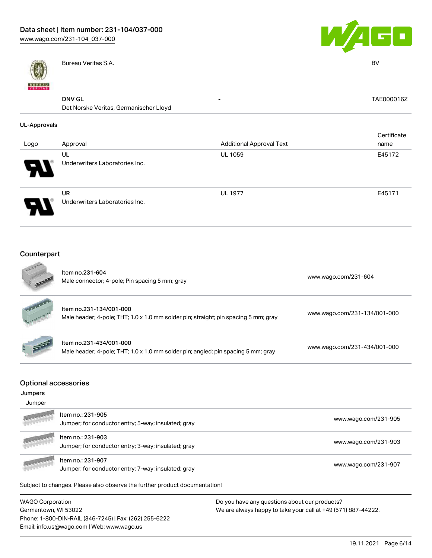

Bureau Veritas S.A. BV

Phone: 1-800-DIN-RAIL (346-7245) | Fax: (262) 255-6222

Email: info.us@wago.com | Web: www.wago.us



- TAE000016Z

| <b>DNV GL</b>                          |
|----------------------------------------|
| Det Norske Veritas, Germanischer Lloyd |

| UL-Approvals               |                                |                                 |             |
|----------------------------|--------------------------------|---------------------------------|-------------|
|                            |                                |                                 | Certificate |
| Logo                       | Approval                       | <b>Additional Approval Text</b> | name        |
|                            | UL                             | <b>UL 1059</b>                  | E45172      |
| $\boldsymbol{\mathcal{A}}$ | Underwriters Laboratories Inc. |                                 |             |
|                            | <b>UR</b>                      | <b>UL 1977</b>                  | E45171      |
|                            | Underwriters Laboratories Inc. |                                 |             |

#### Counterpart **ALL**

|                                                  | Item no.231-604<br>Male connector; 4-pole; Pin spacing 5 mm; gray                                              | www.wago.com/231-604                                                                                           |
|--------------------------------------------------|----------------------------------------------------------------------------------------------------------------|----------------------------------------------------------------------------------------------------------------|
|                                                  | Item no.231-134/001-000<br>Male header; 4-pole; THT; 1.0 x 1.0 mm solder pin; straight; pin spacing 5 mm; gray | www.wago.com/231-134/001-000                                                                                   |
|                                                  | Item no.231-434/001-000<br>Male header; 4-pole; THT; 1.0 x 1.0 mm solder pin; angled; pin spacing 5 mm; gray   | www.wago.com/231-434/001-000                                                                                   |
| <b>Optional accessories</b><br>Jumpers<br>Jumper |                                                                                                                |                                                                                                                |
|                                                  | Item no.: 231-905<br>Jumper; for conductor entry; 5-way; insulated; gray                                       | www.wago.com/231-905                                                                                           |
|                                                  | Item no.: 231-903<br>Jumper; for conductor entry; 3-way; insulated; gray                                       | www.wago.com/231-903                                                                                           |
|                                                  | Item no.: 231-907<br>Jumper; for conductor entry; 7-way; insulated; gray                                       | www.wago.com/231-907                                                                                           |
|                                                  | Subject to changes. Please also observe the further product documentation!                                     |                                                                                                                |
| <b>WAGO Corporation</b><br>Germantown, WI 53022  |                                                                                                                | Do you have any questions about our products?<br>We are always happy to take your call at +49 (571) 887-44222. |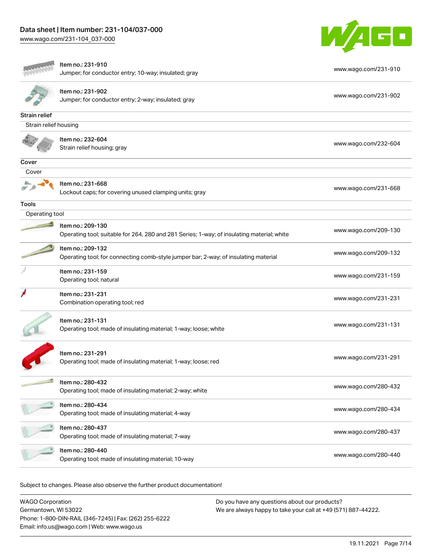

|                       | Item no.: 231-910                                                                          |                      |
|-----------------------|--------------------------------------------------------------------------------------------|----------------------|
|                       | Jumper; for conductor entry; 10-way; insulated; gray                                       | www.wago.com/231-910 |
|                       | Item no.: 231-902                                                                          |                      |
|                       | Jumper; for conductor entry; 2-way; insulated; gray                                        | www.wago.com/231-902 |
| Strain relief         |                                                                                            |                      |
| Strain relief housing |                                                                                            |                      |
|                       | Item no.: 232-604                                                                          |                      |
|                       | Strain relief housing; gray                                                                | www.wago.com/232-604 |
| Cover                 |                                                                                            |                      |
| Cover                 |                                                                                            |                      |
|                       | Item no.: 231-668<br>Lockout caps; for covering unused clamping units; gray                | www.wago.com/231-668 |
| <b>Tools</b>          |                                                                                            |                      |
| Operating tool        |                                                                                            |                      |
|                       | Item no.: 209-130                                                                          |                      |
|                       | Operating tool; suitable for 264, 280 and 281 Series; 1-way; of insulating material; white | www.wago.com/209-130 |
|                       | Item no.: 209-132                                                                          | www.wago.com/209-132 |
|                       | Operating tool; for connecting comb-style jumper bar; 2-way; of insulating material        |                      |
|                       | Item no.: 231-159                                                                          | www.wago.com/231-159 |
|                       | Operating tool; natural                                                                    |                      |
|                       | Item no.: 231-231                                                                          | www.wago.com/231-231 |
|                       | Combination operating tool; red                                                            |                      |
|                       | Item no.: 231-131                                                                          |                      |
|                       | Operating tool; made of insulating material; 1-way; loose; white                           | www.wago.com/231-131 |
|                       |                                                                                            |                      |
|                       | Item no.: 231-291                                                                          |                      |
|                       | Operating tool; made of insulating material; 1-way; loose; red                             | www.wago.com/231-291 |
|                       | Item no.: 280-432                                                                          |                      |
|                       | Operating tool; made of insulating material; 2-way; white                                  | www.wago.com/280-432 |
|                       | Item no.: 280-434                                                                          |                      |
|                       | Operating tool; made of insulating material; 4-way                                         | www.wago.com/280-434 |
|                       | Item no.: 280-437                                                                          | www.wago.com/280-437 |
|                       | Operating tool; made of insulating material; 7-way                                         |                      |
|                       | Item no.: 280-440                                                                          | www.wago.com/280-440 |
|                       | Operating tool; made of insulating material; 10-way                                        |                      |
|                       |                                                                                            |                      |

| <b>WAGO Corporation</b>                                | Do you have any questions about our products?                 |
|--------------------------------------------------------|---------------------------------------------------------------|
| Germantown, WI 53022                                   | We are always happy to take your call at +49 (571) 887-44222. |
| Phone: 1-800-DIN-RAIL (346-7245)   Fax: (262) 255-6222 |                                                               |
| Email: info.us@wago.com   Web: www.wago.us             |                                                               |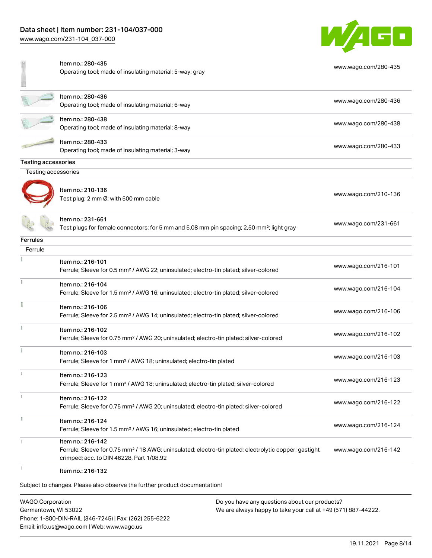

|                            | Item no.: 280-435<br>Operating tool; made of insulating material; 5-way; gray                                                                                                      | www.wago.com/280-435 |
|----------------------------|------------------------------------------------------------------------------------------------------------------------------------------------------------------------------------|----------------------|
|                            | Item no.: 280-436<br>Operating tool; made of insulating material; 6-way                                                                                                            | www.wago.com/280-436 |
|                            | Item no.: 280-438<br>Operating tool; made of insulating material; 8-way                                                                                                            | www.wago.com/280-438 |
|                            | Item no.: 280-433<br>Operating tool; made of insulating material; 3-way                                                                                                            | www.wago.com/280-433 |
| <b>Testing accessories</b> |                                                                                                                                                                                    |                      |
| Testing accessories        |                                                                                                                                                                                    |                      |
|                            | Item no.: 210-136<br>Test plug; 2 mm Ø; with 500 mm cable                                                                                                                          | www.wago.com/210-136 |
|                            | Item no.: 231-661<br>Test plugs for female connectors; for 5 mm and 5.08 mm pin spacing; 2,50 mm <sup>2</sup> ; light gray                                                         | www.wago.com/231-661 |
| <b>Ferrules</b>            |                                                                                                                                                                                    |                      |
| Ferrule                    |                                                                                                                                                                                    |                      |
|                            | Item no.: 216-101<br>Ferrule; Sleeve for 0.5 mm <sup>2</sup> / AWG 22; uninsulated; electro-tin plated; silver-colored                                                             | www.wago.com/216-101 |
|                            | Item no.: 216-104<br>Ferrule; Sleeve for 1.5 mm <sup>2</sup> / AWG 16; uninsulated; electro-tin plated; silver-colored                                                             | www.wago.com/216-104 |
|                            | Item no.: 216-106<br>Ferrule; Sleeve for 2.5 mm <sup>2</sup> / AWG 14; uninsulated; electro-tin plated; silver-colored                                                             | www.wago.com/216-106 |
|                            | Item no.: 216-102<br>Ferrule; Sleeve for 0.75 mm <sup>2</sup> / AWG 20; uninsulated; electro-tin plated; silver-colored                                                            | www.wago.com/216-102 |
|                            | Item no.: 216-103<br>Ferrule; Sleeve for 1 mm <sup>2</sup> / AWG 18; uninsulated; electro-tin plated                                                                               | www.wago.com/216-103 |
|                            | Item no.: 216-123<br>Ferrule; Sleeve for 1 mm <sup>2</sup> / AWG 18; uninsulated; electro-tin plated; silver-colored                                                               | www.wago.com/216-123 |
|                            | Item no.: 216-122<br>Ferrule; Sleeve for 0.75 mm <sup>2</sup> / AWG 20; uninsulated; electro-tin plated; silver-colored                                                            | www.wago.com/216-122 |
|                            | Item no.: 216-124<br>Ferrule; Sleeve for 1.5 mm <sup>2</sup> / AWG 16; uninsulated; electro-tin plated                                                                             | www.wago.com/216-124 |
|                            | Item no.: 216-142<br>Ferrule; Sleeve for 0.75 mm <sup>2</sup> / 18 AWG; uninsulated; electro-tin plated; electrolytic copper; gastight<br>crimped; acc. to DIN 46228, Part 1/08.92 | www.wago.com/216-142 |
|                            | Item no.: 216-132                                                                                                                                                                  |                      |

Subject to changes. Please also observe the further product documentation!

WAGO Corporation Germantown, WI 53022 Phone: 1-800-DIN-RAIL (346-7245) | Fax: (262) 255-6222 Email: info.us@wago.com | Web: www.wago.us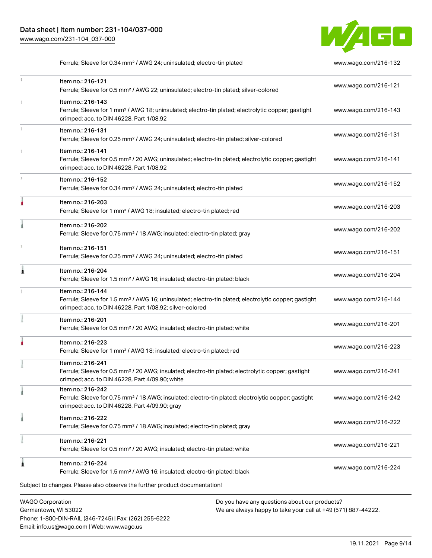

Ferrule; Sleeve for 0.34 mm<sup>2</sup> / AWG 24; uninsulated; electro-tin plated [www.wago.com/216-132](http://www.wago.com/216-132)

|   | <b>WAGO Corporation</b><br>Do you have any questions about our products?                                                                                                                          |                      |
|---|---------------------------------------------------------------------------------------------------------------------------------------------------------------------------------------------------|----------------------|
|   | Subject to changes. Please also observe the further product documentation!                                                                                                                        |                      |
| ٨ | Item no.: 216-224<br>Ferrule; Sleeve for 1.5 mm <sup>2</sup> / AWG 16; insulated; electro-tin plated; black                                                                                       | www.wago.com/216-224 |
|   | Item no.: 216-221<br>Ferrule; Sleeve for 0.5 mm <sup>2</sup> / 20 AWG; insulated; electro-tin plated; white                                                                                       | www.wago.com/216-221 |
|   | Item no.: 216-222<br>Ferrule; Sleeve for 0.75 mm <sup>2</sup> / 18 AWG; insulated; electro-tin plated; gray                                                                                       | www.wago.com/216-222 |
|   | Item no.: 216-242<br>Ferrule; Sleeve for 0.75 mm <sup>2</sup> / 18 AWG; insulated; electro-tin plated; electrolytic copper; gastight<br>crimped; acc. to DIN 46228, Part 4/09.90; gray            | www.wago.com/216-242 |
|   | Item no.: 216-241<br>Ferrule; Sleeve for 0.5 mm <sup>2</sup> / 20 AWG; insulated; electro-tin plated; electrolytic copper; gastight<br>crimped; acc. to DIN 46228, Part 4/09.90; white            | www.wago.com/216-241 |
|   | Item no.: 216-223<br>Ferrule; Sleeve for 1 mm <sup>2</sup> / AWG 18; insulated; electro-tin plated; red                                                                                           | www.wago.com/216-223 |
|   | Item no.: 216-201<br>Ferrule; Sleeve for 0.5 mm <sup>2</sup> / 20 AWG; insulated; electro-tin plated; white                                                                                       | www.wago.com/216-201 |
|   | Item no.: 216-144<br>Ferrule; Sleeve for 1.5 mm <sup>2</sup> / AWG 16; uninsulated; electro-tin plated; electrolytic copper; gastight<br>crimped; acc. to DIN 46228, Part 1/08.92; silver-colored | www.wago.com/216-144 |
| 0 | Item no.: 216-204<br>Ferrule; Sleeve for 1.5 mm <sup>2</sup> / AWG 16; insulated; electro-tin plated; black                                                                                       | www.wago.com/216-204 |
|   | Item no.: 216-151<br>Ferrule; Sleeve for 0.25 mm <sup>2</sup> / AWG 24; uninsulated; electro-tin plated                                                                                           | www.wago.com/216-151 |
|   | Item no.: 216-202<br>Ferrule; Sleeve for 0.75 mm <sup>2</sup> / 18 AWG; insulated; electro-tin plated; gray                                                                                       | www.wago.com/216-202 |
|   | Item no.: 216-203<br>Ferrule; Sleeve for 1 mm <sup>2</sup> / AWG 18; insulated; electro-tin plated; red                                                                                           | www.wago.com/216-203 |
|   | Item no.: 216-152<br>Ferrule; Sleeve for 0.34 mm <sup>2</sup> / AWG 24; uninsulated; electro-tin plated                                                                                           | www.wago.com/216-152 |
|   | Item no.: 216-141<br>Ferrule; Sleeve for 0.5 mm <sup>2</sup> / 20 AWG; uninsulated; electro-tin plated; electrolytic copper; gastight<br>crimped; acc. to DIN 46228, Part 1/08.92                 | www.wago.com/216-141 |
|   | Item no.: 216-131<br>Ferrule; Sleeve for 0.25 mm <sup>2</sup> / AWG 24; uninsulated; electro-tin plated; silver-colored                                                                           | www.wago.com/216-131 |
|   | Item no.: 216-143<br>Ferrule; Sleeve for 1 mm <sup>2</sup> / AWG 18; uninsulated; electro-tin plated; electrolytic copper; gastight<br>crimped; acc. to DIN 46228, Part 1/08.92                   | www.wago.com/216-143 |
|   | Item no.: 216-121<br>Ferrule; Sleeve for 0.5 mm <sup>2</sup> / AWG 22; uninsulated; electro-tin plated; silver-colored                                                                            | www.wago.com/216-121 |

Germantown, WI 53022 Phone: 1-800-DIN-RAIL (346-7245) | Fax: (262) 255-6222 Email: info.us@wago.com | Web: www.wago.us

We are always happy to take your call at +49 (571) 887-44222.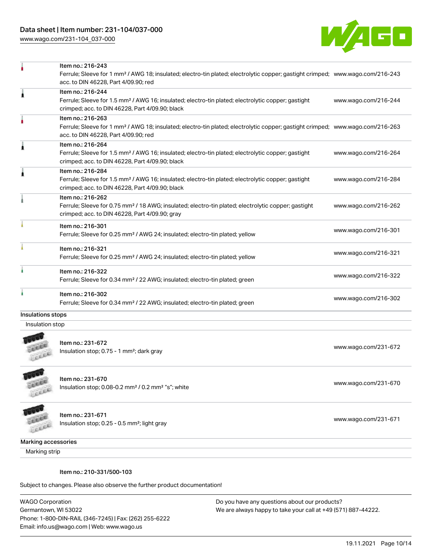

|                   | Item no.: 216-243                                                                                                                                                                  |                      |
|-------------------|------------------------------------------------------------------------------------------------------------------------------------------------------------------------------------|----------------------|
|                   | Ferrule; Sleeve for 1 mm <sup>2</sup> / AWG 18; insulated; electro-tin plated; electrolytic copper; gastight crimped; www.wago.com/216-243                                         |                      |
|                   | acc. to DIN 46228, Part 4/09.90; red                                                                                                                                               |                      |
| Ă                 | Item no.: 216-244                                                                                                                                                                  |                      |
|                   | Ferrule; Sleeve for 1.5 mm <sup>2</sup> / AWG 16; insulated; electro-tin plated; electrolytic copper; gastight<br>crimped; acc. to DIN 46228, Part 4/09.90; black                  | www.wago.com/216-244 |
|                   | Item no.: 216-263                                                                                                                                                                  |                      |
|                   | Ferrule; Sleeve for 1 mm <sup>2</sup> / AWG 18; insulated; electro-tin plated; electrolytic copper; gastight crimped; www.wago.com/216-263<br>acc. to DIN 46228, Part 4/09.90; red |                      |
|                   | Item no.: 216-264                                                                                                                                                                  |                      |
|                   | Ferrule; Sleeve for 1.5 mm <sup>2</sup> / AWG 16; insulated; electro-tin plated; electrolytic copper; gastight<br>crimped; acc. to DIN 46228, Part 4/09.90; black                  | www.wago.com/216-264 |
|                   | Item no.: 216-284                                                                                                                                                                  |                      |
|                   | Ferrule; Sleeve for 1.5 mm <sup>2</sup> / AWG 16; insulated; electro-tin plated; electrolytic copper; gastight<br>crimped; acc. to DIN 46228, Part 4/09.90; black                  | www.wago.com/216-284 |
|                   | Item no.: 216-262                                                                                                                                                                  |                      |
|                   | Ferrule; Sleeve for 0.75 mm <sup>2</sup> / 18 AWG; insulated; electro-tin plated; electrolytic copper; gastight<br>crimped; acc. to DIN 46228, Part 4/09.90; gray                  | www.wago.com/216-262 |
|                   | Item no.: 216-301                                                                                                                                                                  |                      |
|                   | Ferrule; Sleeve for 0.25 mm <sup>2</sup> / AWG 24; insulated; electro-tin plated; yellow                                                                                           | www.wago.com/216-301 |
|                   | Item no.: 216-321                                                                                                                                                                  |                      |
|                   | Ferrule; Sleeve for 0.25 mm <sup>2</sup> / AWG 24; insulated; electro-tin plated; yellow                                                                                           | www.wago.com/216-321 |
|                   | Item no.: 216-322                                                                                                                                                                  |                      |
|                   | Ferrule; Sleeve for 0.34 mm <sup>2</sup> / 22 AWG; insulated; electro-tin plated; green                                                                                            | www.wago.com/216-322 |
|                   | Item no.: 216-302                                                                                                                                                                  |                      |
|                   | Ferrule; Sleeve for 0.34 mm <sup>2</sup> / 22 AWG; insulated; electro-tin plated; green                                                                                            | www.wago.com/216-302 |
| Inculatione etone |                                                                                                                                                                                    |                      |

#### Insulations stops

Insulation stop



Item no.: 231-672 Insulation stop; 0.75 - 1 mm<sup>2</sup>; dark gray [www.wago.com/231-672](http://www.wago.com/231-672) www.wago.com/231-672

**CALLED** LEEEE

Item no.: 231-670

Insulation stop; 0.08-0.2 mm² / 0.2 mm² "s"; white [www.wago.com/231-670](http://www.wago.com/231-670) www.wago.com/231-670



Item no.: 231-671 Insulation stop; 0.25 - 0.5 mm²; light gray [www.wago.com/231-671](http://www.wago.com/231-671) www.wago.com/231-671

Marking accessories

Marking strip

#### Item no.: 210-331/500-103

Subject to changes. Please also observe the further product documentation!

WAGO Corporation Germantown, WI 53022 Phone: 1-800-DIN-RAIL (346-7245) | Fax: (262) 255-6222 Email: info.us@wago.com | Web: www.wago.us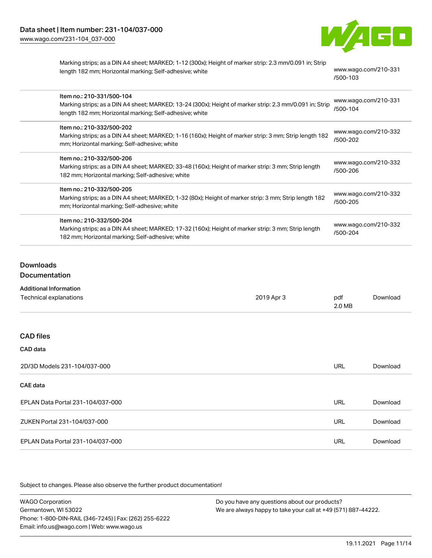

Marking strips; as a DIN A4 sheet; MARKED; 1-12 (300x); Height of marker strip: 2.3 mm/0.091 in; Strip length 182 mm; Horizontal marking; Self-adhesive; white [www.wago.com/210-331](http://www.wago.com/210-331/500-103)

[/500-103](http://www.wago.com/210-331/500-103)

| Item no.: 210-331/500-104<br>Marking strips; as a DIN A4 sheet; MARKED; 13-24 (300x); Height of marker strip: 2.3 mm/0.091 in; Strip<br>length 182 mm; Horizontal marking; Self-adhesive; white | www.wago.com/210-331<br>/500-104 |
|-------------------------------------------------------------------------------------------------------------------------------------------------------------------------------------------------|----------------------------------|
| Item no.: 210-332/500-202<br>Marking strips; as a DIN A4 sheet; MARKED; 1-16 (160x); Height of marker strip: 3 mm; Strip length 182<br>mm; Horizontal marking; Self-adhesive; white             | www.wago.com/210-332<br>/500-202 |
| Item no.: 210-332/500-206<br>Marking strips; as a DIN A4 sheet; MARKED; 33-48 (160x); Height of marker strip: 3 mm; Strip length<br>182 mm; Horizontal marking; Self-adhesive; white            | www.wago.com/210-332<br>/500-206 |
| Item no.: 210-332/500-205<br>Marking strips; as a DIN A4 sheet; MARKED; 1-32 (80x); Height of marker strip: 3 mm; Strip length 182<br>mm; Horizontal marking; Self-adhesive; white              | www.wago.com/210-332<br>/500-205 |
| Item no.: 210-332/500-204<br>Marking strips; as a DIN A4 sheet; MARKED; 17-32 (160x); Height of marker strip: 3 mm; Strip length<br>182 mm; Horizontal marking; Self-adhesive; white            | www.wago.com/210-332<br>/500-204 |

### Downloads

#### **Documentation**

| <b>Additional Information</b> |
|-------------------------------|
|                               |

| Technical explanations            | 2019 Apr 3 | pdf<br>2.0 MB | Download |
|-----------------------------------|------------|---------------|----------|
|                                   |            |               |          |
| <b>CAD files</b>                  |            |               |          |
| CAD data                          |            |               |          |
| 2D/3D Models 231-104/037-000      |            | <b>URL</b>    | Download |
| <b>CAE data</b>                   |            |               |          |
| EPLAN Data Portal 231-104/037-000 |            | <b>URL</b>    | Download |
| ZUKEN Portal 231-104/037-000      |            | <b>URL</b>    | Download |
| EPLAN Data Portal 231-104/037-000 |            | <b>URL</b>    | Download |

| <b>WAGO Corporation</b>                                | Do you have any questions about our products?                 |  |
|--------------------------------------------------------|---------------------------------------------------------------|--|
| Germantown, WI 53022                                   | We are always happy to take your call at +49 (571) 887-44222. |  |
| Phone: 1-800-DIN-RAIL (346-7245)   Fax: (262) 255-6222 |                                                               |  |
| Email: info.us@wago.com   Web: www.wago.us             |                                                               |  |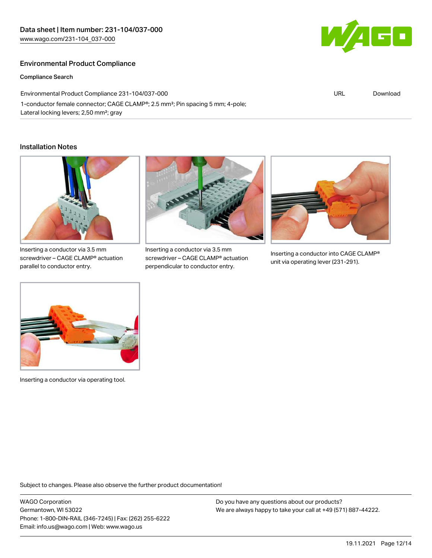### Environmental Product Compliance

Compliance Search

Environmental Product Compliance 231-104/037-000 1-conductor female connector; CAGE CLAMP®; 2.5 mm²; Pin spacing 5 mm; 4-pole; Lateral locking levers; 2,50 mm²; gray

#### Installation Notes



Inserting a conductor via 3.5 mm screwdriver – CAGE CLAMP® actuation parallel to conductor entry.



Inserting a conductor via 3.5 mm screwdriver – CAGE CLAMP® actuation perpendicular to conductor entry.



Inserting a conductor into CAGE CLAMP® unit via operating lever (231-291).



Inserting a conductor via operating tool.

Subject to changes. Please also observe the further product documentation!

WAGO Corporation Germantown, WI 53022 Phone: 1-800-DIN-RAIL (346-7245) | Fax: (262) 255-6222 Email: info.us@wago.com | Web: www.wago.us

Do you have any questions about our products? We are always happy to take your call at +49 (571) 887-44222.



URL [Download](https://www.wago.com/global/d/ComplianceLinkMediaContainer_231-104_037-000)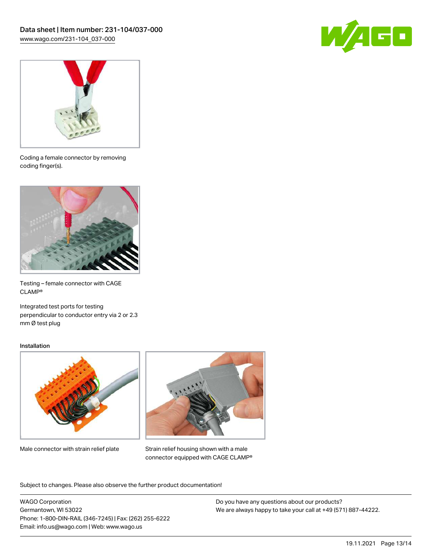



Coding a female connector by removing coding finger(s).



Testing – female connector with CAGE CLAMP®

Integrated test ports for testing perpendicular to conductor entry via 2 or 2.3 mm Ø test plug

#### Installation



Male connector with strain relief plate



Strain relief housing shown with a male connector equipped with CAGE CLAMP®

Subject to changes. Please also observe the further product documentation!

WAGO Corporation Germantown, WI 53022 Phone: 1-800-DIN-RAIL (346-7245) | Fax: (262) 255-6222 Email: info.us@wago.com | Web: www.wago.us